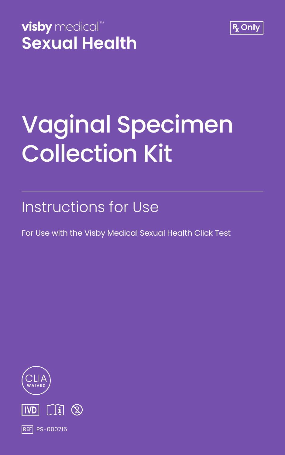



## Vaginal Specimen Collection Kit

### Instructions for Use

For Use with the Visby Medical Sexual Health Click Test

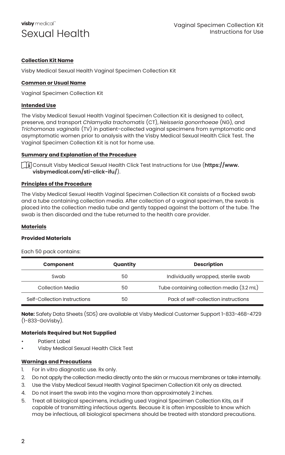#### **Collection Kit Name**

Visby Medical Sexual Health Vaginal Specimen Collection Kit

#### **Common or Usual Name**

Vaginal Specimen Collection Kit

#### **Intended Use**

The Visby Medical Sexual Health Vaginal Specimen Collection Kit is designed to collect, preserve, and transport *Chlamydia trachomatis* (CT), *Neisseria gonorrhoeae* (NG), and *Trichomonas vaginalis* (TV) in patient-collected vaginal specimens from symptomatic and asymptomatic women prior to analysis with the Visby Medical Sexual Health Click Test. The Vaginal Specimen Collection Kit is not for home use.

#### **Summary and Explanation of the Procedure**

Consult Visby Medical Sexual Health Click Test Instructions for Use (**https://www. visbymedical.com/sti-click-ifu/**).

#### **Principles of the Procedure**

The Visby Medical Sexual Health Vaginal Specimen Collection Kit consists of a flocked swab and a tube containing collection media. After collection of a vaginal specimen, the swab is placed into the collection media tube and gently tapped against the bottom of the tube. The swab is then discarded and the tube returned to the health care provider.

#### **Materials**

#### **Provided Materials**

Each 50 pack contains:

| Component                    | Quantity | <b>Description</b>                        |
|------------------------------|----------|-------------------------------------------|
| Swab                         | 50       | Individually wrapped, sterile swab        |
| Collection Media             | 50       | Tube containing collection media (3.2 mL) |
| Self-Collection Instructions | 50       | Pack of self-collection instructions      |

**Note:** Safety Data Sheets (SDS) are available at Visby Medical Customer Support 1-833-468-4729 (1-833-GoVisby).

#### **Materials Required but Not Supplied**

- Patient Label
- Visby Medical Sexual Health Click Test

#### **Warnings and Precautions**

- 1. For in vitro diagnostic use. Rx only.
- 2. Do not apply the collection media directly onto the skin or mucous membranes or take internally.
- 3. Use the Visby Medical Sexual Health Vaginal Specimen Collection Kit only as directed.
- 4. Do not insert the swab into the vagina more than approximately 2 inches.
- 5. Treat all biological specimens, including used Vaginal Specimen Collection Kits, as if capable of transmitting infectious agents. Because it is often impossible to know which may be infectious, all biological specimens should be treated with standard precautions.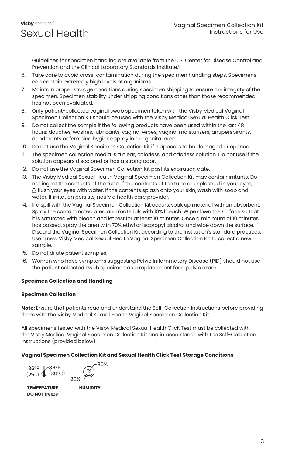Guidelines for specimen handling are available from the U.S. Center for Disease Control and Prevention and the Clinical Laboratory Standards Institute.<sup>1,2</sup>

- 6. Take care to avoid cross-contamination during the specimen handling steps. Specimens can contain extremely high levels of organisms.
- 7. Maintain proper storage conditions during specimen shipping to ensure the integrity of the specimen. Specimen stability under shipping conditions other than those recommended has not been evaluated.
- 8. Only patient-collected vaginal swab specimen taken with the Visby Medical Vaginal Specimen Collection Kit should be used with the Visby Medical Sexual Health Click Test.
- 9. Do not collect the sample if the following products have been used within the last 48 hours: douches, washes, lubricants, vaginal wipes, vaginal moisturizers, antiperspirants, deodorants or feminine hygiene spray in the genital area.
- 10. Do not use the Vaginal Specimen Collection Kit if it appears to be damaged or opened.
- 11. The specimen collection media is a clear, colorless, and odorless solution. Do not use if the solution appears discolored or has a strong odor.
- 12. Do not use the Vaginal Specimen Collection Kit past its expiration date.
- 13. The Visby Medical Sexual Health Vaginal Specimen Collection Kit may contain irritants. Do not ingest the contents of the tube. If the contents of the tube are splashed in your eyes,  $\triangle$  flush your eyes with water. If the contents splash onto your skin, wash with soap and water. If irritation persists, notify a health care provider.
- 14. If a spill with the Vaginal Specimen Collection Kit occurs, soak up material with an absorbent. Spray the contaminated area and materials with 10% bleach. Wipe down the surface so that it is saturated with bleach and let rest for at least 10 minutes. Once a minimum of 10 minutes has passed, spray the area with 70% ethyl or isopropyl alcohol and wipe down the surface. Discard the Vaginal Specimen Collection Kit according to the Institution's standard practices. Use a new Visby Medical Sexual Health Vaginal Specimen Collection Kit to collect a new sample.
- 15. Do not dilute patient samples.
- 16. Women who have symptoms suggesting Pelvic Inflammatory Disease (PID) should not use the patient collected swab specimen as a replacement for a pelvic exam.

#### **Specimen Collection and Handling**

#### **Specimen Collection**

**Note:** Ensure that patients read and understand the Self-Collection Instructions before providing them with the Visby Medical Sexual Health Vaginal Specimen Collection Kit.

All specimens tested with the Visby Medical Sexual Health Click Test must be collected with the Visby Medical Vaginal Specimen Collection Kit and in accordance with the Self-Collection Instructions (provided below).

#### **Vaginal Specimen Collection Kit and Sexual Health Click Test Storage Conditions**

80% 36°F  $\sqrt{ }$ -86°F  $\%$  $(2^{\circ}C)^{\sim}$  (30 $^{\circ}C$ ) 30% **TEMPERATURE HUMIDITY DO NOT** freeze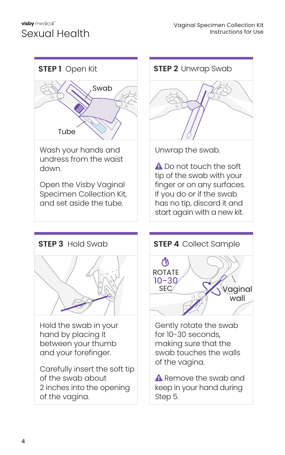

Wash your hands and undress from the waist down.

Open the Visby Vaginal Specimen Collection Kit, and set aside the tube.



Unwrap the swab.

A Do not touch the soft tip of the swab with your finger or on any surfaces. If you do or if the swab has no tip, discard it and start again with a new kit.

# **STEP 3** Hold Swab **STEP 4** Collect Sample

Hold the swab in your hand by placing it between your thumb and your forefinger.

Carefully insert the soft tip of the swab about 2 inches into the opening of the vagina.



Gently rotate the swab for 10-30 seconds, making sure that the swab touches the walls of the vagina.

A Remove the swab and keep in your hand during Step 5.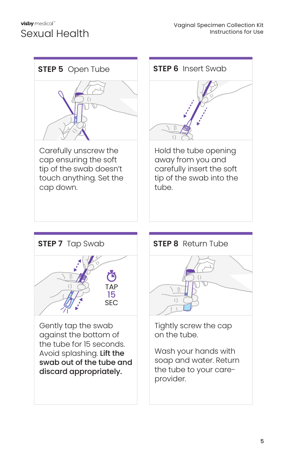



Gently tap the swab against the bottom of the tube for 15 seconds. Avoid splashing. Lift the swab out of the tube and discard appropriately.



Tightly screw the cap on the tube.

Wash your hands with soap and water. Return the tube to your careprovider.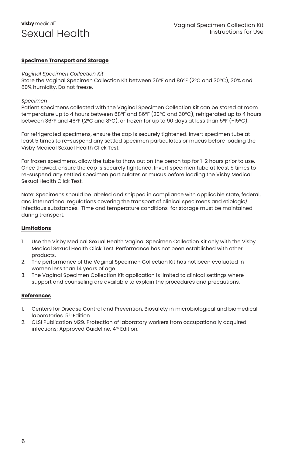#### **Specimen Transport and Storage**

#### *Vaginal Specimen Collection Kit*

Store the Vaginal Specimen Collection Kit between 36°F and 86°F (2°C and 30°C), 30% and 80% humidity. Do not freeze.

#### *Specimen*

Patient specimens collected with the Vaginal Specimen Collection Kit can be stored at room temperature up to 4 hours between 68°F and 86°F (20°C and 30°C), refrigerated up to 4 hours between 36°F and 46°F (2°C and 8°C), or frozen for up to 90 days at less than 5°F (-15°C).

For refrigerated specimens, ensure the cap is securely tightened. Invert specimen tube at least 5 times to re-suspend any settled specimen particulates or mucus before loading the Visby Medical Sexual Health Click Test.

For frozen specimens, allow the tube to thaw out on the bench top for 1-2 hours prior to use. Once thawed, ensure the cap is securely tightened. Invert specimen tube at least 5 times to re-suspend any settled specimen particulates or mucus before loading the Visby Medical Sexual Health Click Test.

Note: Specimens should be labeled and shipped in compliance with applicable state, federal, and international regulations covering the transport of clinical specimens and etiologic/ infectious substances. Time and temperature conditions for storage must be maintained during transport.

#### **Limitations**

- 1. Use the Visby Medical Sexual Health Vaginal Specimen Collection Kit only with the Visby Medical Sexual Health Click Test. Performance has not been established with other products.
- 2. The performance of the Vaginal Specimen Collection Kit has not been evaluated in women less than 14 years of age.
- 3. The Vaginal Specimen Collection Kit application is limited to clinical settings where support and counseling are available to explain the procedures and precautions.

#### **References**

- 1. Centers for Disease Control and Prevention. Biosafety in microbiological and biomedical laboratories. 5<sup>th</sup> Edition.
- 2. CLSI Publication M29. Protection of laboratory workers from occupationally acquired infections; Approved Guideline. 4<sup>th</sup> Edition.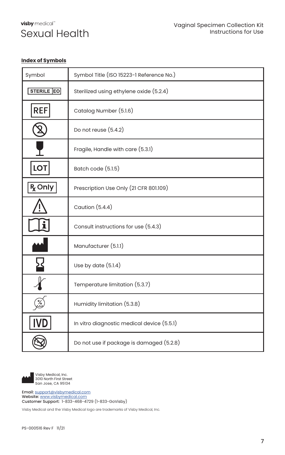#### **Index of Symbols**

| Symbol            | Symbol Title (ISO 15223-1 Reference No.)   |  |
|-------------------|--------------------------------------------|--|
| <b>STERILE EO</b> | Sterilized using ethylene oxide (5.2.4)    |  |
| <b>REF</b>        | Catalog Number (5.1.6)                     |  |
|                   | Do not reuse (5.4.2)                       |  |
|                   | Fragile, Handle with care (5.3.1)          |  |
| LOT               | Batch code (5.1.5)                         |  |
| <b>R</b> Only     | Prescription Use Only (21 CFR 801.109)     |  |
|                   | Caution (5.4.4)                            |  |
|                   | Consult instructions for use (5.4.3)       |  |
|                   | Manufacturer (5.1.1)                       |  |
|                   | Use by date $(5.1.4)$                      |  |
|                   | Temperature limitation (5.3.7)             |  |
|                   | Humidity limitation (5.3.8)                |  |
|                   | In vitro diagnostic medical device (5.5.1) |  |
|                   | Do not use if package is damaged (5.2.8)   |  |



Visby Medical, Inc. 3010 North First Street San Jose, CA 95134

Email: <u>support@visbymedical.com</u><br>Website: <u>www.visbymedical.com</u><br>Customer Su<mark>pport</mark>: 1-833-468-4729 (1-833-GoVisby)

Visby Medical and the Visby Medical logo are trademarks of Visby Medical, Inc.